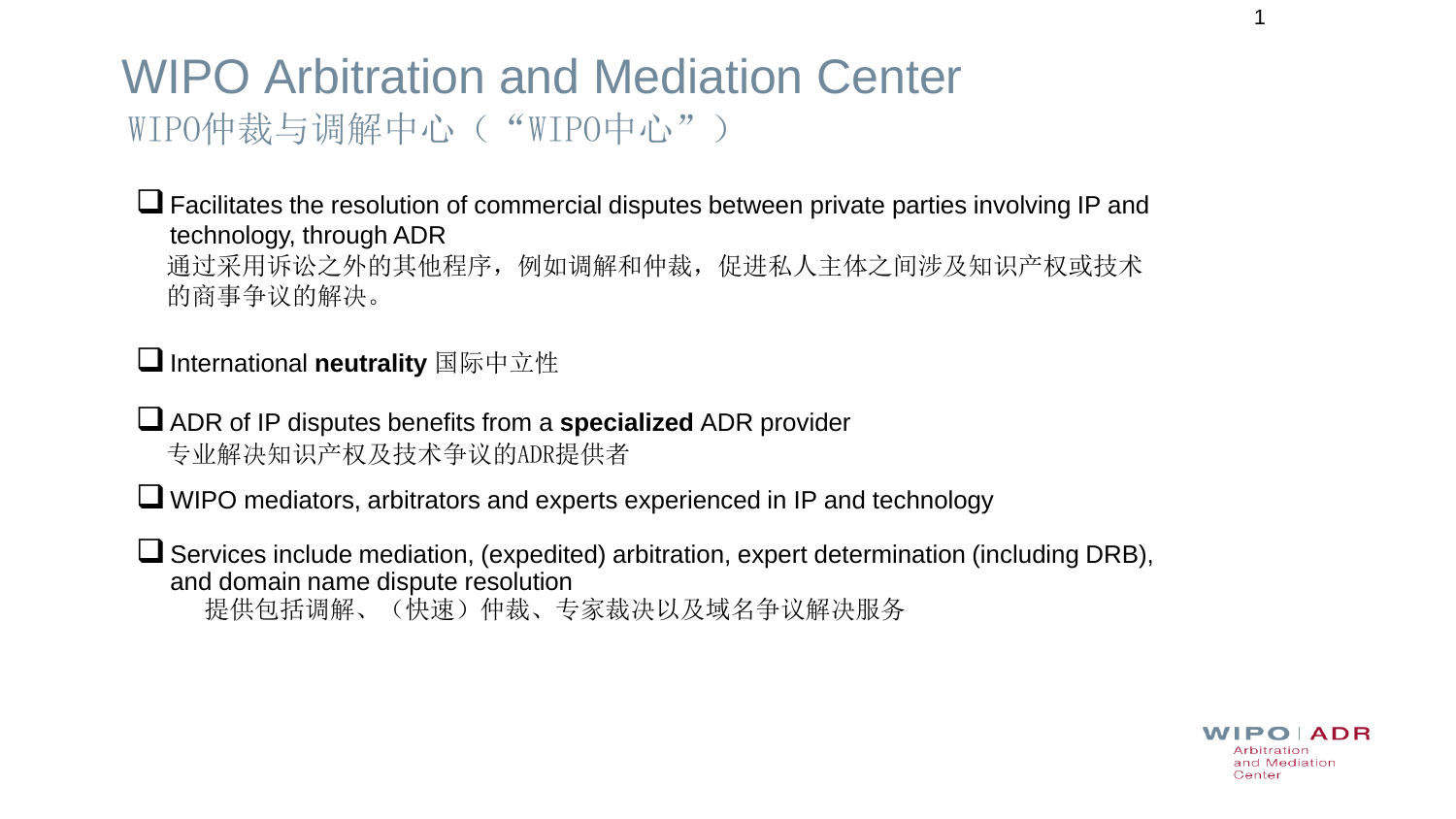## WIPO Arbitration and Mediation Center WIPO仲裁与调解中心("WIPO中心")

❑Facilitates the resolution of commercial disputes between private parties involving IP and technology, through ADR 通过采用诉讼之外的其他程序,例如调解和仲裁,促进私人主体之间涉及知识产权或技术 的商事争议的解决。

### **□** International neutrality 国际中立性

❑ADR of IP disputes benefits from a **specialized** ADR provider 专业解决知识产权及技术争议的ADR提供者

❑ WIPO mediators, arbitrators and experts experienced in IP and technology

❑Services include mediation, (expedited) arbitration, expert determination (including DRB), and domain name dispute resolution 提供包括调解、(快速)仲裁、专家裁决以及域名争议解决服务

> $IPO$   $ADR$ Arbitration and Mediation Center

1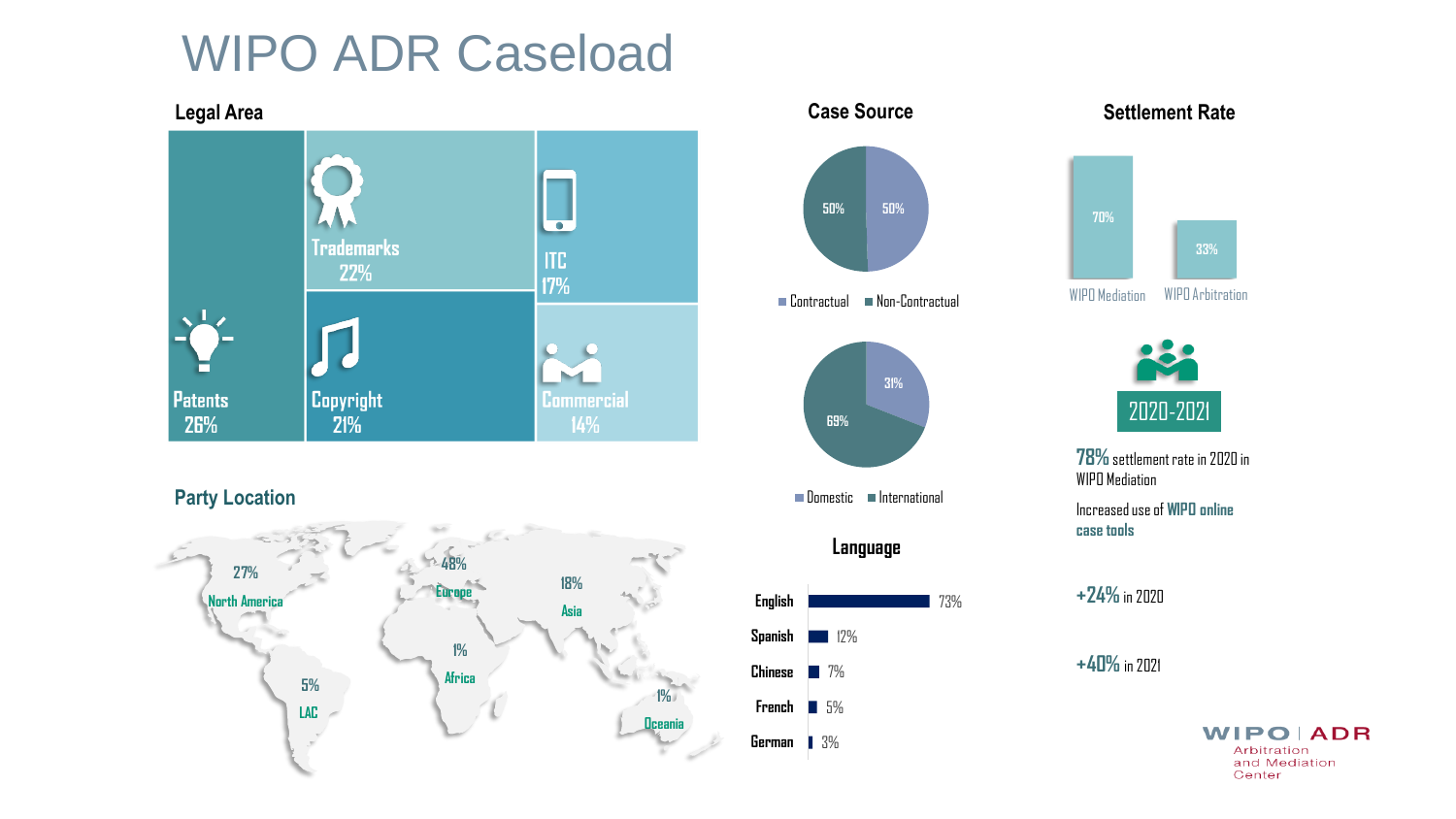## WIPO ADR Caseload



**1% Oceania**

**LAC**

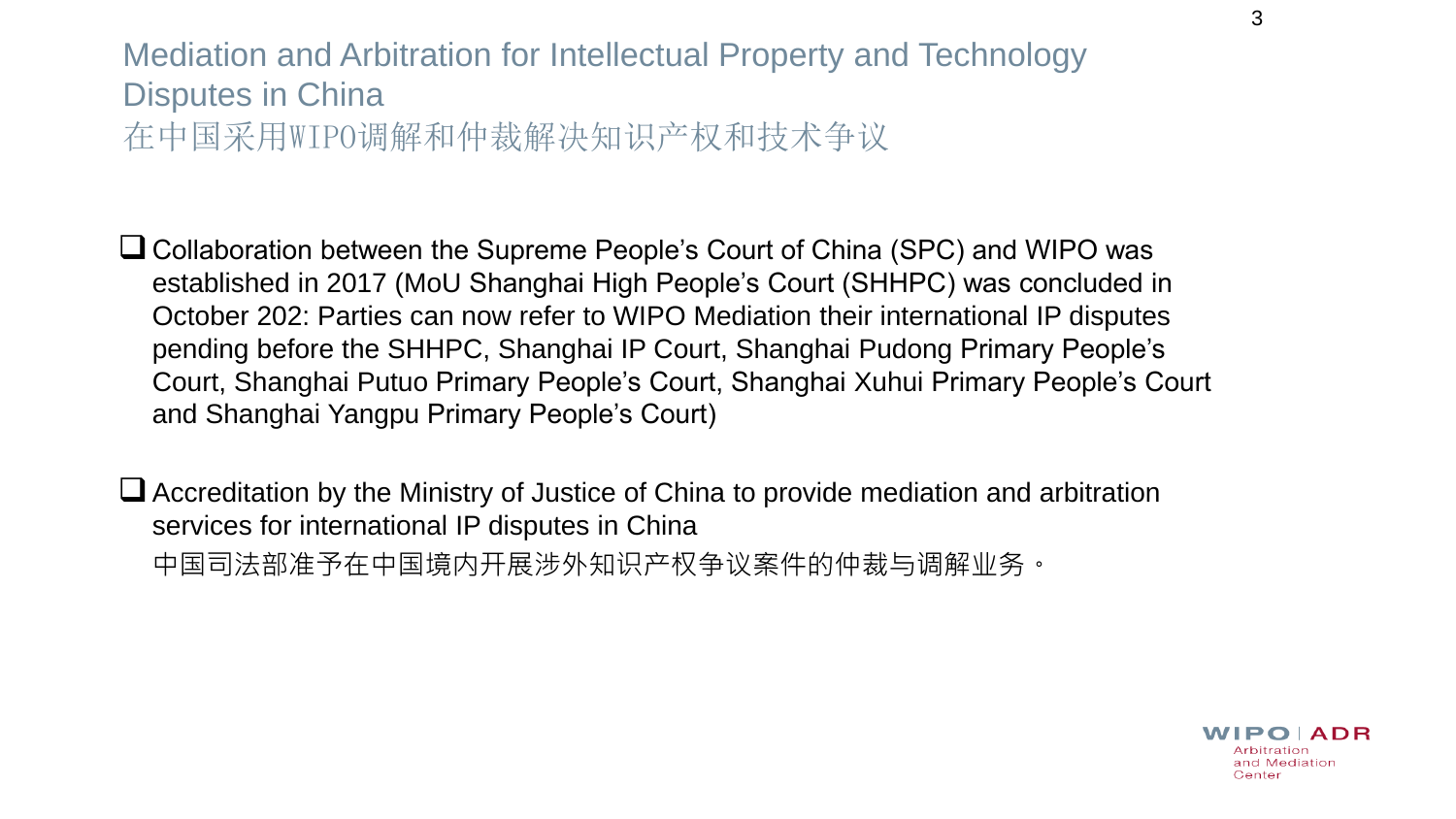### Mediation and Arbitration for Intellectual Property and Technology Disputes in China 在中国采用WIPO调解和仲裁解决知识产权和技术争议

❑Collaboration between the Supreme People's Court of China (SPC) and WIPO was established in 2017 (MoU Shanghai High People's Court (SHHPC) was concluded in October 202: Parties can now refer to WIPO Mediation their international IP disputes pending before the SHHPC, Shanghai IP Court, Shanghai Pudong Primary People's Court, Shanghai Putuo Primary People's Court, Shanghai Xuhui Primary People's Court and Shanghai Yangpu Primary People's Court)

❑Accreditation by the Ministry of Justice of China to provide mediation and arbitration services for international IP disputes in China 中国司法部准予在中国境内开展涉外知识产权争议案件的仲裁与调解业务。

3

 $IPO$   $ADR$ Arbitration and Mediation Center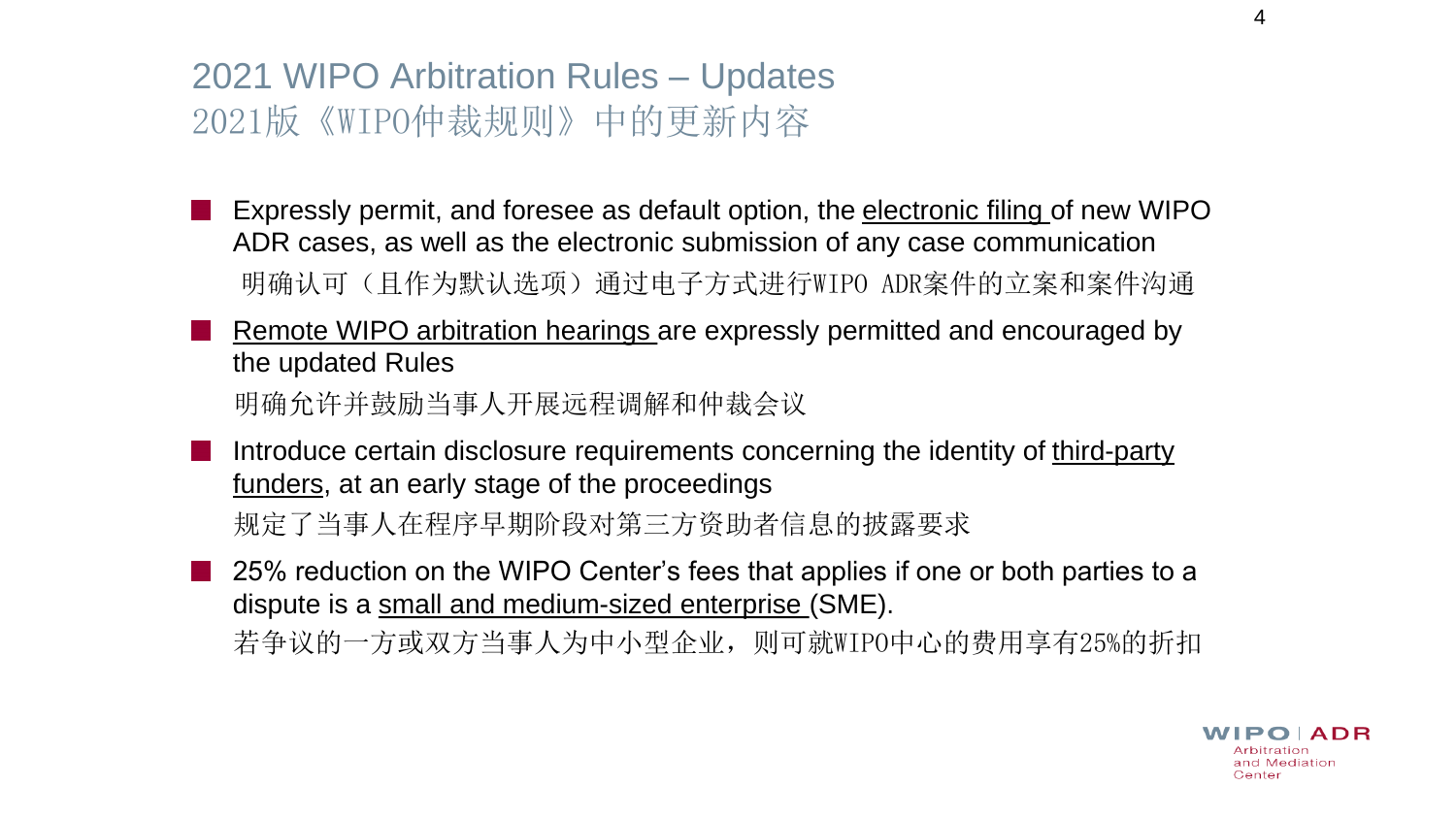## 2021 WIPO Arbitration Rules – Updates 2021版《WIPO仲裁规则》中的更新内容

Expressly permit, and foresee as default option, the electronic filing of new WIPO ADR cases, as well as the electronic submission of any case communication 明确认可(且作为默认选项)通过电子方式进行WIPO ADR案件的立案和案件沟通

Remote WIPO arbitration hearings are expressly permitted and encouraged by the updated Rules

明确允许并鼓励当事人开展远程调解和仲裁会议

Introduce certain disclosure requirements concerning the identity of third-party funders, at an early stage of the proceedings

规定了当事人在程序早期阶段对第三方资助者信息的披露要求

25% reduction on the WIPO Center's fees that applies if one or both parties to a dispute is a small and medium-sized enterprise (SME). 若争议的一方或双方当事人为中小型企业,则可就WIPO中心的费用享有25%的折扣

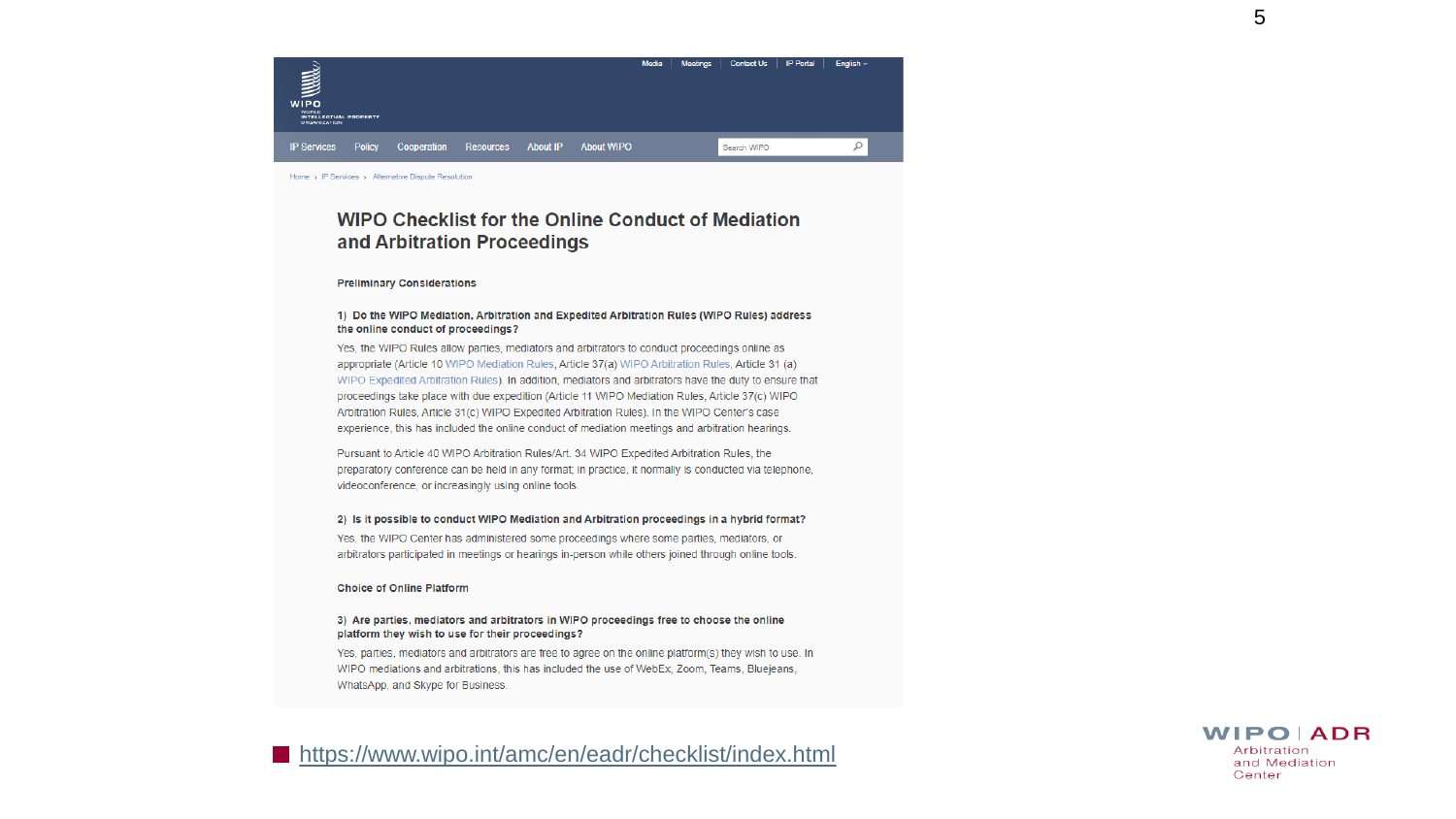

Home > IP Services > Alternative Dispute Resolution

#### **WIPO Checklist for the Online Conduct of Mediation** and Arbitration Proceedings

#### **Preliminary Considerations**

#### 1) Do the WIPO Mediation, Arbitration and Expedited Arbitration Rules (WIPO Rules) address the online conduct of proceedings?

Yes, the WIPO Rules allow parties, mediators and arbitrators to conduct proceedings online as appropriate (Article 10 WIPO Mediation Rules, Article 37(a) WIPO Arbitration Rules, Article 31 (a) WIPO Expedited Arbitration Rules). In addition, mediators and arbitrators have the duty to ensure that proceedings take place with due expedition (Article 11 WIPO Mediation Rules, Article 37(c) WIPO Arbitration Rules, Article 31(c) WIPO Expedited Arbitration Rules). In the WIPO Center's case experience, this has included the online conduct of mediation meetings and arbitration hearings.

Pursuant to Article 40 WIPO Arbitration Rules/Art. 34 WIPO Expedited Arbitration Rules, the preparatory conference can be held in any format; in practice, it normally is conducted via telephone, videoconference, or increasingly using online tools.

#### 2) Is it possible to conduct WIPO Mediation and Arbitration proceedings in a hybrid format?

Yes, the WIPO Center has administered some proceedings where some parties, mediators, or arbitrators participated in meetings or hearings in-person while others joined through online tools.

#### **Choice of Online Platform**

#### 3) Are parties, mediators and arbitrators in WIPO proceedings free to choose the online platform they wish to use for their proceedings?

Yes, parties, mediators and arbitrators are free to agree on the online platform(s) they wish to use. In WIPO mediations and arbitrations, this has included the use of WebEx, Zoom, Teams, Bluejeans, WhatsApp, and Skype for Business.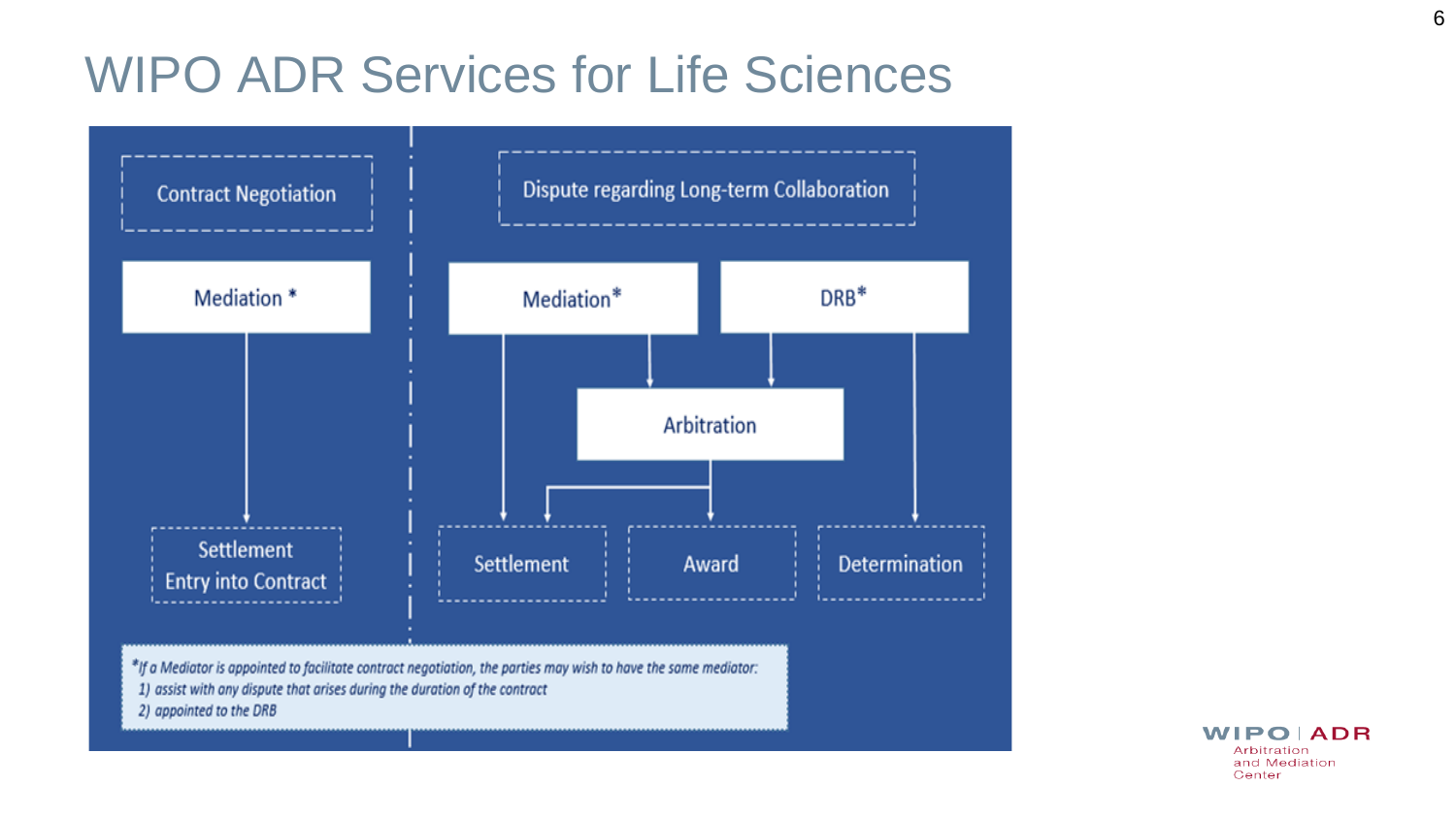# WIPO ADR Services for Life Sciences



**WIPO ADR** Arbitration and Mediation Center